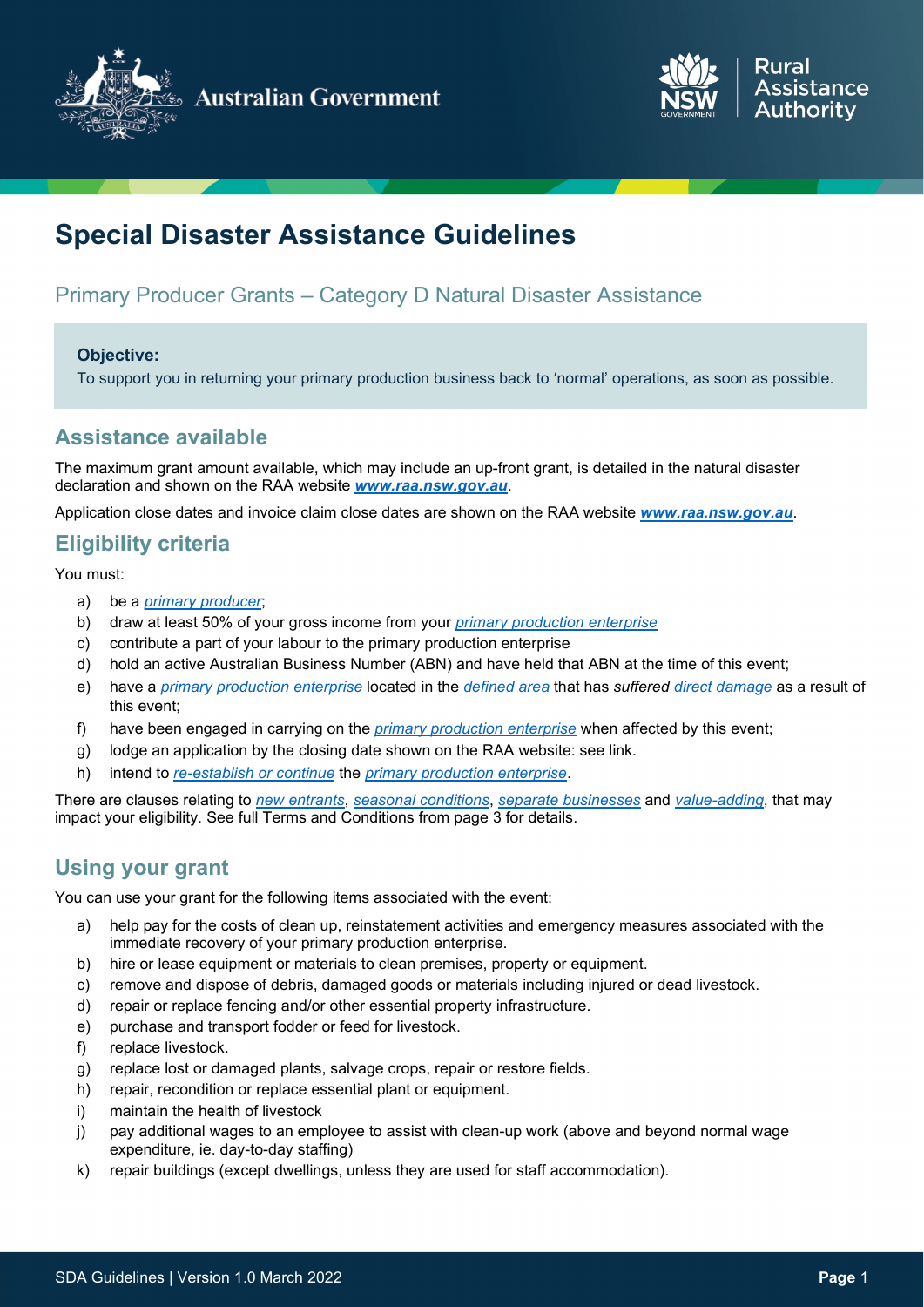



# **Special Disaster Assistance Guidelines**

# Primary Producer Grants – Category D Natural Disaster Assistance

#### <span id="page-0-0"></span>**Objective:**

To support you in returning your primary production business back to 'normal' operations, as soon as possible.

### **Assistance available**

The maximum grant amount available, which may include an up-front grant, is detailed in the natural disaster declaration and shown on the RAA website *[www.raa.nsw.gov.au](http://www.raa.nsw.gov.au/)*.

Application close dates and invoice claim close dates are shown on the RAA website *[www.raa.nsw.gov.au](http://www.raa.nsw.gov.au/)*.

### **Eligibility criteria**

You must:

- a) be a *[primary producer](#page-7-0)*;
- b) draw at least 50% of your gross income from your *[primary production enterprise](#page-8-0)*
- c) contribute a part of your labour to the primary production enterprise
- d) hold an active Australian Business Number (ABN) and have held that ABN at the time of this event;
- e) have a *[primary production enterprise](#page-8-0)* located in the *[defined area](#page-7-1)* that has *suffered [direct damage](#page-7-2)* as a result of this event;
- f) have been engaged in carrying on the *[primary production enterprise](#page-8-0)* when affected by this event;
- g) lodge an application by the closing date shown on the RAA website: see link.
- h) intend to *[re-establish or continue](#page-8-1)* the *[primary production enterprise](#page-0-0)*.

There are clauses relating to *[new entrants](#page-3-0)*, *[seasonal conditions](#page-7-3)*, *separate businesses* and *[value-adding](#page-2-0)*, that may impact your eligibility. See full Terms and Conditions from page 3 for details.

### **Using your grant**

You can use your grant for the following items associated with the event:

- a) help pay for the costs of clean up, reinstatement activities and emergency measures associated with the immediate recovery of your primary production enterprise.
- b) hire or lease equipment or materials to clean premises, property or equipment.
- c) remove and dispose of debris, damaged goods or materials including injured or dead livestock.
- d) repair or replace fencing and/or other essential property infrastructure.
- e) purchase and transport fodder or feed for livestock.
- f) replace livestock.
- g) replace lost or damaged plants, salvage crops, repair or restore fields.
- h) repair, recondition or replace essential plant or equipment.
- i) maintain the health of livestock
- j) pay additional wages to an employee to assist with clean-up work (above and beyond normal wage expenditure, ie. day-to-day staffing)
- k) repair buildings (except dwellings, unless they are used for staff accommodation).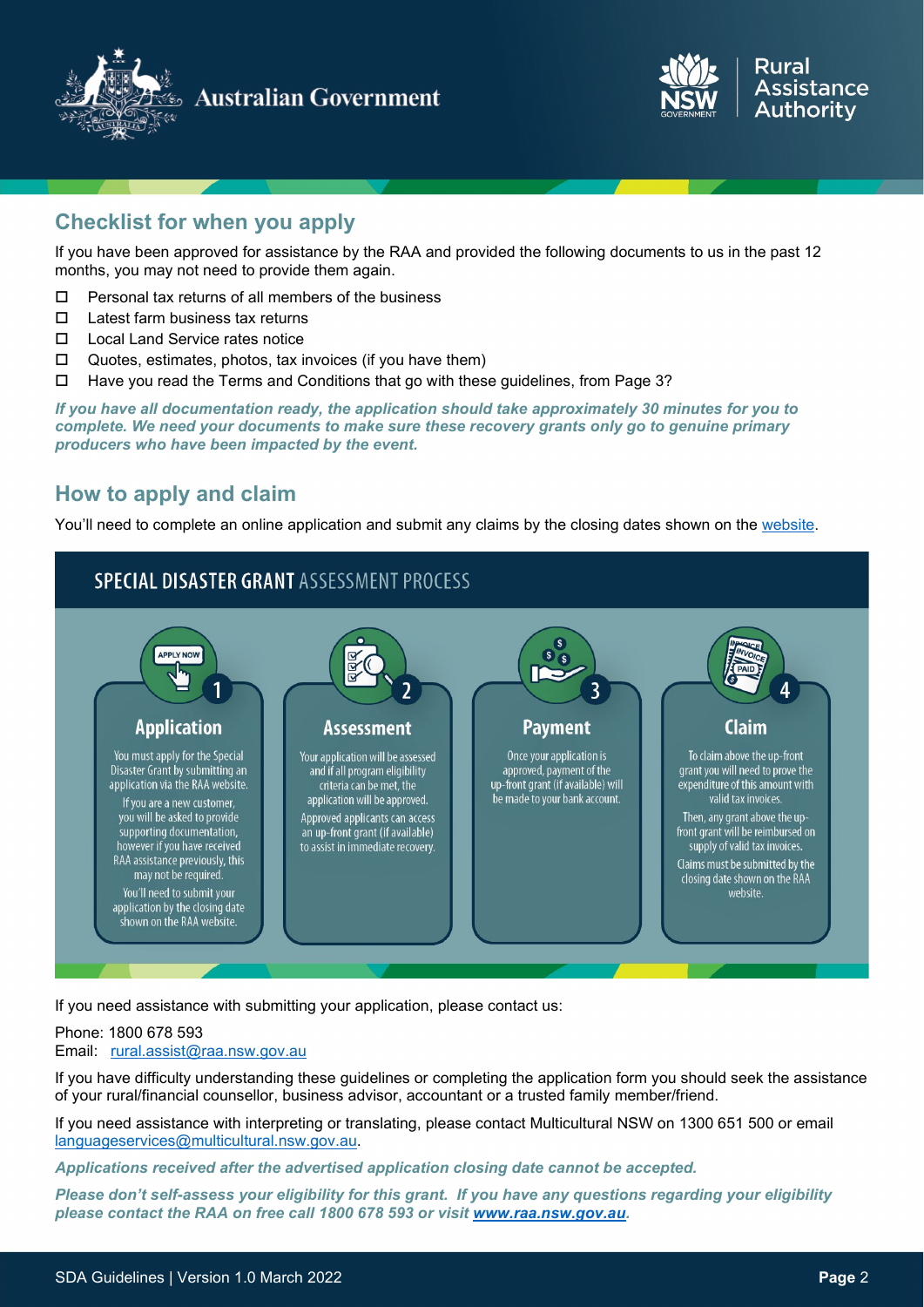

**Australian Government** 



# **Checklist for when you apply**

If you have been approved for assistance by the RAA and provided the following documents to us in the past 12 months, you may not need to provide them again.

- $\Box$  Personal tax returns of all members of the business
- $\Pi$  Latest farm business tax returns
- □ Local Land Service rates notice
- $\Box$  Quotes, estimates, photos, tax invoices (if you have them)
- Have you read the Terms and Conditions that go with these guidelines, from Page 3?

*If you have all documentation ready, the application should take approximately 30 minutes for you to complete. We need your documents to make sure these recovery grants only go to genuine primary producers who have been impacted by the event.* 

### **How to apply and claim**

You'll need to complete an online application and submit any claims by the closing dates shown on the [website.](https://www.raa.nsw.gov.au/disaster-assistance/sdg-november-2021)

### **SPECIAL DISASTER GRANT ASSESSMENT PROCESS**



If you need assistance with submitting your application, please contact us:

#### Phone: 1800 678 593

#### Email: [rural.assist@raa.nsw.gov.au](mailto:rural.assist@raa.nsw.gov.au)

If you have difficulty understanding these guidelines or completing the application form you should seek the assistance of your rural/financial counsellor, business advisor, accountant or a trusted family member/friend.

If you need assistance with interpreting or translating, please contact Multicultural NSW on 1300 651 500 or email [languageservices@multicultural.nsw.gov.au.](mailto:languageservices@multicultural.nsw.gov.au)

*Applications received after the advertised application closing date cannot be accepted.*

*Please don't self-assess your eligibility for this grant. If you have any questions regarding your eligibility please contact the RAA on free call 1800 678 593 or visit [www.raa.nsw.gov.au.](http://www.raa.nsw.gov.au/)*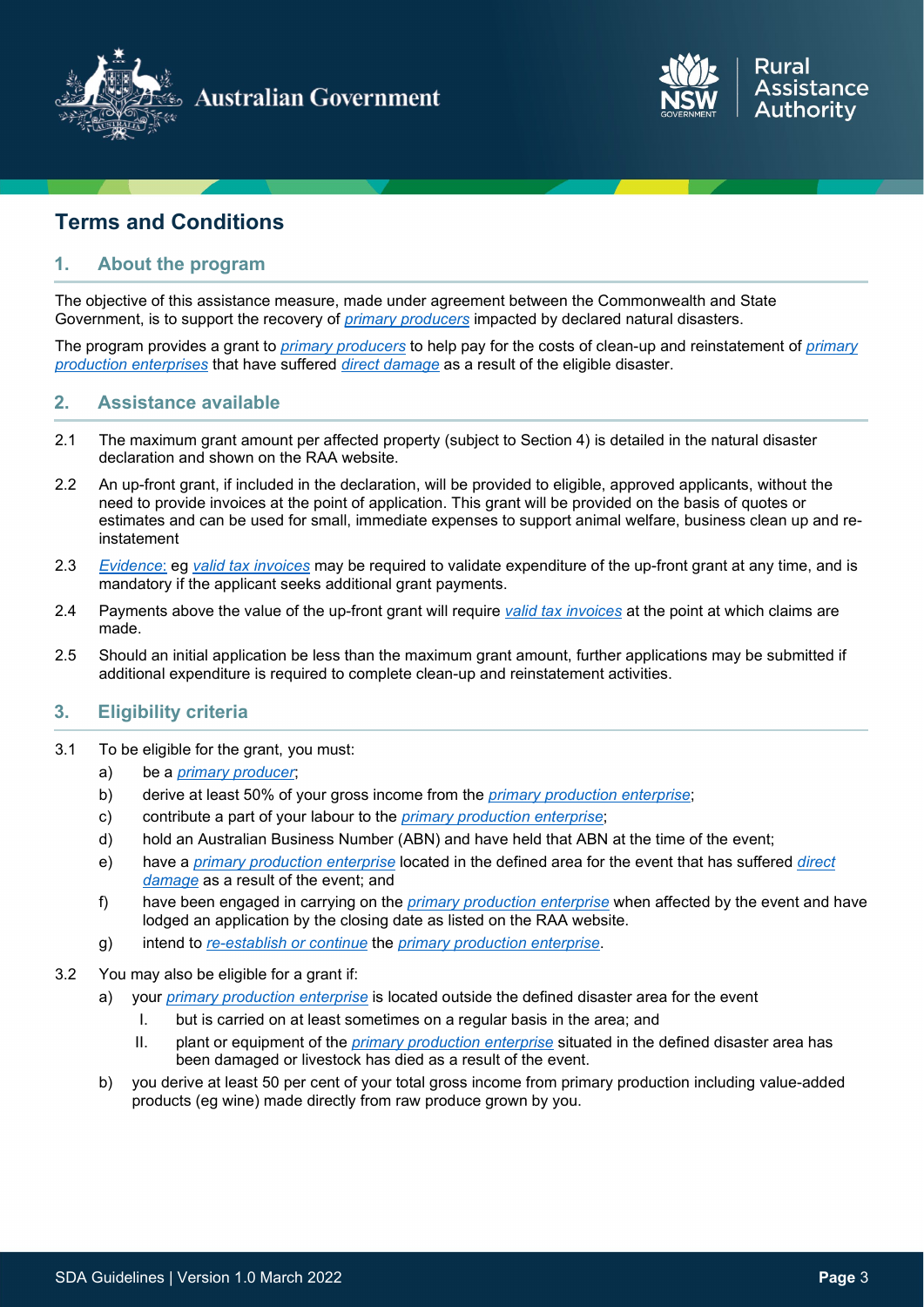



# **Terms and Conditions**

#### **1. About the program**

The objective of this assistance measure, made under agreement between the Commonwealth and State Government, is to support the recovery of *[primary producers](#page-7-0)* impacted by declared natural disasters.

The program provides a grant to *[primary producers](#page-0-0)* to help pay for the costs of clean-up and reinstatement of *[primary](#page-8-0)  [production enterprises](#page-8-0)* that have suffered *[direct damage](#page-7-2)* as a result of the eligible disaster.

#### **2. Assistance available**

- 2.1 The maximum grant amount per affected property (subject to Section 4) is detailed in the natural disaster declaration and shown on the RAA website.
- 2.2 An up-front grant, if included in the declaration, will be provided to eligible, approved applicants, without the need to provide invoices at the point of application. This grant will be provided on the basis of quotes or estimates and can be used for small, immediate expenses to support animal welfare, business clean up and reinstatement
- 2.3 *[Evidence](#page-7-4)*: eg *[valid tax invoices](#page-8-2)* may be required to validate expenditure of the up-front grant at any time, and is mandatory if the applicant seeks additional grant payments.
- 2.4 Payments above the value of the up-front grant will require *[valid tax invoices](#page-8-2)* at the point at which claims are made.
- 2.5 Should an initial application be less than the maximum grant amount, further applications may be submitted if additional expenditure is required to complete clean-up and reinstatement activities.

#### **3. Eligibility criteria**

- 3.1 To be eligible for the grant, you must:
	- a) be a *[primary producer](#page-7-0)*;
	- b) derive at least 50% of your gross income from the *[primary production enterprise](#page-8-0)*;
	- c) contribute a part of your labour to the *[primary production enterprise](#page-8-0)*;
	- d) hold an Australian Business Number (ABN) and have held that ABN at the time of the event;
	- e) have a *[primary production enterprise](#page-8-0)* located in the defined area for the event that has suffered *[direct](#page-7-2)  [damage](#page-7-2)* as a result of the event; and
	- f) have been engaged in carrying on the *[primary production enterprise](#page-8-0)* when affected by the event and have lodged an application by the closing date as listed on the RAA website.
	- g) intend to *[re-establish](#page-8-1) or continue* the *[primary production enterprise](#page-8-0)*.
- <span id="page-2-0"></span>3.2 You may also be eligible for a grant if:
	- a) your *[primary production enterprise](#page-8-0)* is located outside the defined disaster area for the event
		- I. but is carried on at least sometimes on a regular basis in the area; and
		- II. plant or equipment of the *[primary production enterprise](#page-8-0)* situated in the defined disaster area has been damaged or livestock has died as a result of the event.
	- b) you derive at least 50 per cent of your total gross income from primary production including value-added products (eg wine) made directly from raw produce grown by you.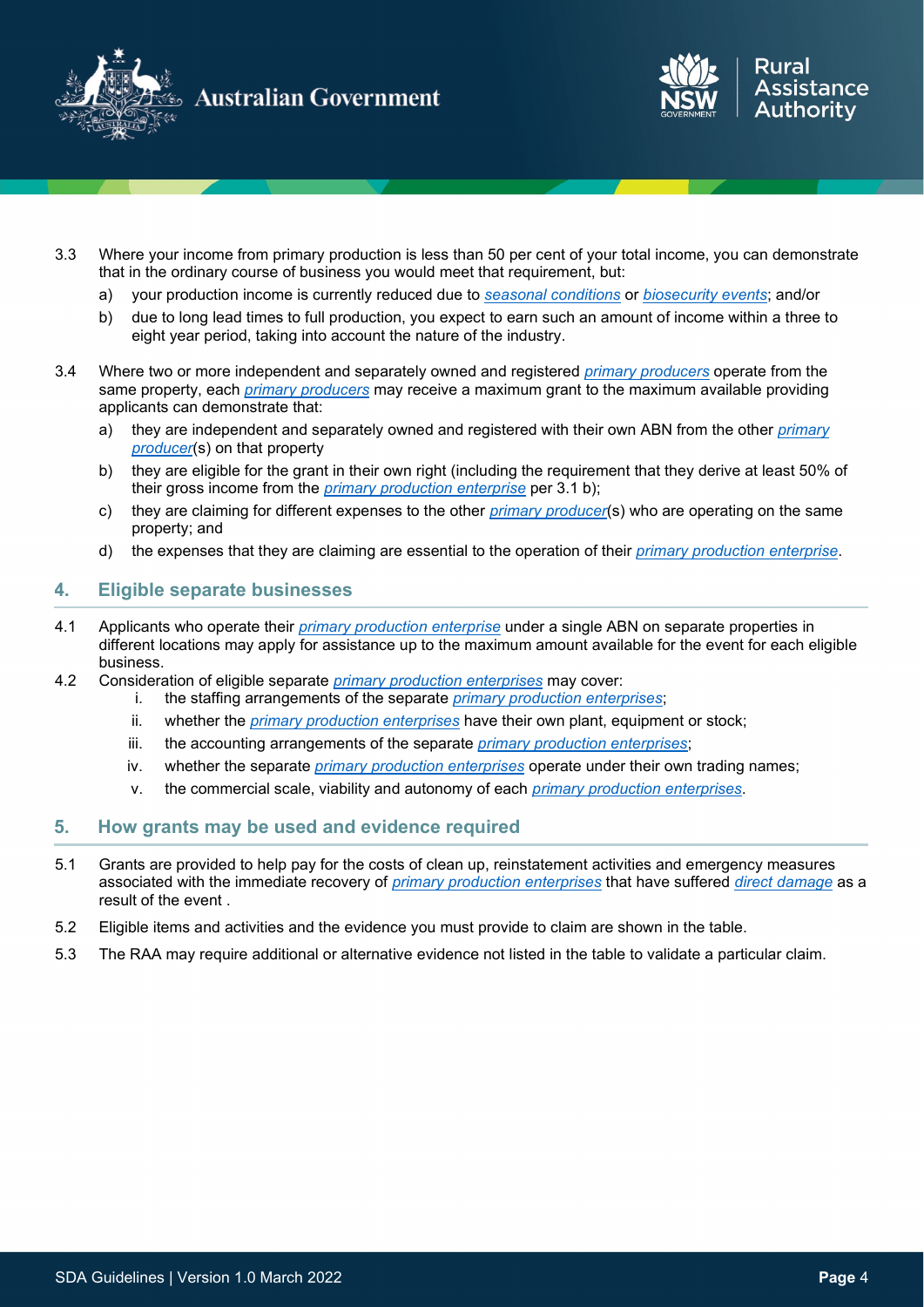



- 3.3 Where your income from primary production is less than 50 per cent of your total income, you can demonstrate that in the ordinary course of business you would meet that requirement, but:
	- a) your production income is currently reduced due to *[seasonal conditions](#page-7-3)* or *[biosecurity events](#page-7-3)*; and/or
	- b) due to long lead times to full production, you expect to earn such an amount of income within a three to eight year period, taking into account the nature of the industry.
- <span id="page-3-0"></span>3.4 Where two or more independent and separately owned and registered *[primary producers](#page-7-0)* operate from the same property, each *[primary producers](#page-7-0)* may receive a maximum grant to the maximum available providing applicants can demonstrate that:
	- a) they are independent and separately owned and registered with their own ABN from the other *[primary](#page-7-0)  [producer](#page-7-0)*(s) on that property
	- b) they are eligible for the grant in their own right (including the requirement that they derive at least 50% of their gross income from the *[primary production enterprise](#page-8-0)* per 3.1 b);
	- c) they are claiming for different expenses to the other *[primary producer](#page-7-0)*(s) who are operating on the same property; and
	- d) the expenses that they are claiming are essential to the operation of their *[primary production enterprise](#page-8-0)*.

#### **4. Eligible separate businesses**

- 4.1 Applicants who operate their *[primary production enterprise](#page-8-0)* under a single ABN on separate properties in different locations may apply for assistance up to the maximum amount available for the event for each eligible business.
- 4.2 Consideration of eligible separate *[primary production enterprises](#page-8-0)* may cover:
	- i. the staffing arrangements of the separate *[primary production enterprises](#page-8-0)*;
	- ii. whether the *[primary production enterprises](#page-8-0)* have their own plant, equipment or stock;
	- iii. the accounting arrangements of the separate *[primary production enterprises](#page-8-0)*;
	- iv. whether the separate *[primary production enterprises](#page-8-0)* operate under their own trading names;
	- v. the commercial scale, viability and autonomy of each *[primary production enterprises](#page-8-0)*.

#### **5. How grants may be used and evidence required**

- 5.1 Grants are provided to help pay for the costs of clean up, reinstatement activities and emergency measures associated with the immediate recovery of *[primary production enterprises](#page-8-0)* that have suffered *[direct damage](#page-7-2)* as a result of the event .
- 5.2 Eligible items and activities and the evidence you must provide to claim are shown in the table.
- 5.3 The RAA may require additional or alternative evidence not listed in the table to validate a particular claim.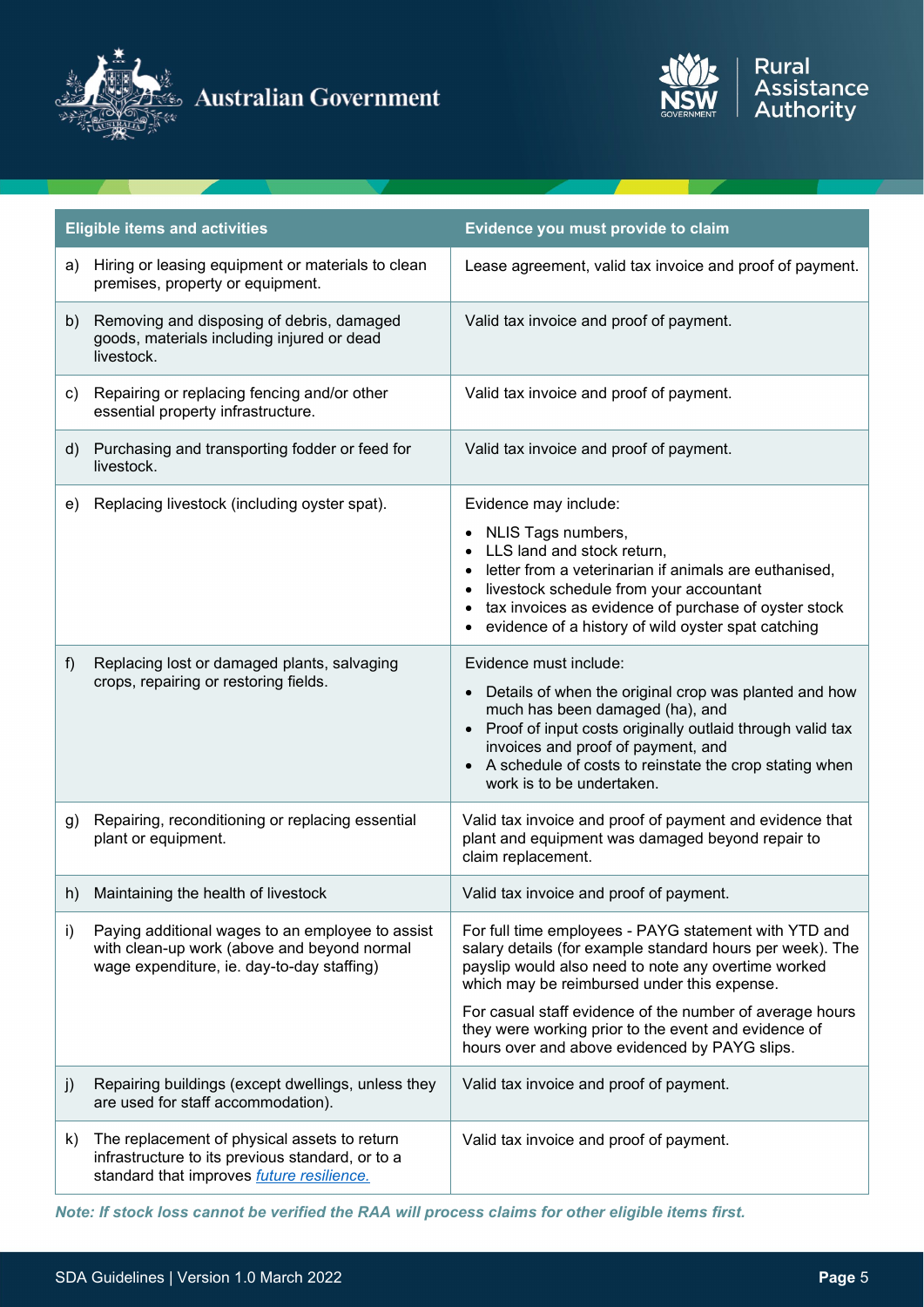



| <b>Eligible items and activities</b> |                                                                                                                                                       | Evidence you must provide to claim                                                                                                                                                                                                                                                                           |
|--------------------------------------|-------------------------------------------------------------------------------------------------------------------------------------------------------|--------------------------------------------------------------------------------------------------------------------------------------------------------------------------------------------------------------------------------------------------------------------------------------------------------------|
| a)                                   | Hiring or leasing equipment or materials to clean<br>premises, property or equipment.                                                                 | Lease agreement, valid tax invoice and proof of payment.                                                                                                                                                                                                                                                     |
| b)                                   | Removing and disposing of debris, damaged<br>goods, materials including injured or dead<br>livestock.                                                 | Valid tax invoice and proof of payment.                                                                                                                                                                                                                                                                      |
| C)                                   | Repairing or replacing fencing and/or other<br>essential property infrastructure.                                                                     | Valid tax invoice and proof of payment.                                                                                                                                                                                                                                                                      |
| d)                                   | Purchasing and transporting fodder or feed for<br>livestock.                                                                                          | Valid tax invoice and proof of payment.                                                                                                                                                                                                                                                                      |
| e)                                   | Replacing livestock (including oyster spat).                                                                                                          | Evidence may include:                                                                                                                                                                                                                                                                                        |
|                                      |                                                                                                                                                       | NLIS Tags numbers,<br>LLS land and stock return,<br>letter from a veterinarian if animals are euthanised,<br>$\bullet$<br>livestock schedule from your accountant<br>$\bullet$<br>tax invoices as evidence of purchase of oyster stock<br>evidence of a history of wild oyster spat catching                 |
| f)                                   | Replacing lost or damaged plants, salvaging                                                                                                           | Evidence must include:                                                                                                                                                                                                                                                                                       |
|                                      | crops, repairing or restoring fields.                                                                                                                 | Details of when the original crop was planted and how<br>much has been damaged (ha), and<br>Proof of input costs originally outlaid through valid tax<br>$\bullet$<br>invoices and proof of payment, and<br>A schedule of costs to reinstate the crop stating when<br>$\bullet$<br>work is to be undertaken. |
| g)                                   | Repairing, reconditioning or replacing essential<br>plant or equipment.                                                                               | Valid tax invoice and proof of payment and evidence that<br>plant and equipment was damaged beyond repair to<br>claim replacement.                                                                                                                                                                           |
| h)                                   | Maintaining the health of livestock                                                                                                                   | Valid tax invoice and proof of payment.                                                                                                                                                                                                                                                                      |
| i)                                   | Paying additional wages to an employee to assist<br>with clean-up work (above and beyond normal<br>wage expenditure, ie. day-to-day staffing)         | For full time employees - PAYG statement with YTD and<br>salary details (for example standard hours per week). The<br>payslip would also need to note any overtime worked<br>which may be reimbursed under this expense.                                                                                     |
|                                      |                                                                                                                                                       | For casual staff evidence of the number of average hours<br>they were working prior to the event and evidence of<br>hours over and above evidenced by PAYG slips.                                                                                                                                            |
| j)                                   | Repairing buildings (except dwellings, unless they<br>are used for staff accommodation).                                                              | Valid tax invoice and proof of payment.                                                                                                                                                                                                                                                                      |
| k)                                   | The replacement of physical assets to return<br>infrastructure to its previous standard, or to a<br>standard that improves <i>future resilience</i> . | Valid tax invoice and proof of payment.                                                                                                                                                                                                                                                                      |

*Note: If stock loss cannot be verified the RAA will process claims for other eligible items first.*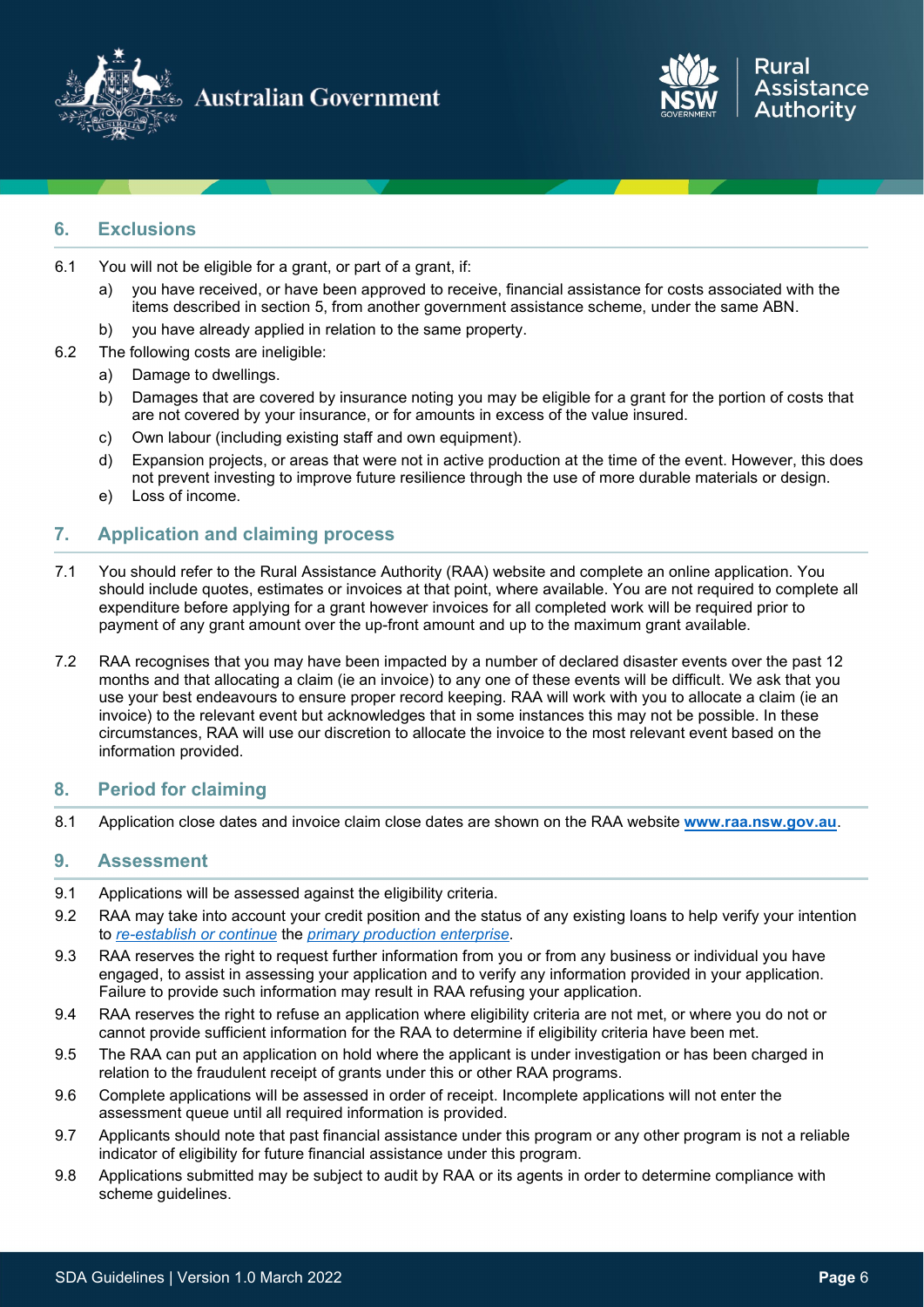



### **6. Exclusions**

- 6.1 You will not be eligible for a grant, or part of a grant, if:
	- a) you have received, or have been approved to receive, financial assistance for costs associated with the items described in section 5, from another government assistance scheme, under the same ABN.
	- b) you have already applied in relation to the same property.
- 6.2 The following costs are ineligible:
	- a) Damage to dwellings.
	- b) Damages that are covered by insurance noting you may be eligible for a grant for the portion of costs that are not covered by your insurance, or for amounts in excess of the value insured.
	- c) Own labour (including existing staff and own equipment).
	- d) Expansion projects, or areas that were not in active production at the time of the event. However, this does not prevent investing to improve future resilience through the use of more durable materials or design.
	- e) Loss of income.

#### **7. Application and claiming process**

- 7.1 You should refer to the Rural Assistance Authority (RAA) website and complete an online application. You should include quotes, estimates or invoices at that point, where available. You are not required to complete all expenditure before applying for a grant however invoices for all completed work will be required prior to payment of any grant amount over the up-front amount and up to the maximum grant available.
- 7.2 RAA recognises that you may have been impacted by a number of declared disaster events over the past 12 months and that allocating a claim (ie an invoice) to any one of these events will be difficult. We ask that you use your best endeavours to ensure proper record keeping. RAA will work with you to allocate a claim (ie an invoice) to the relevant event but acknowledges that in some instances this may not be possible. In these circumstances, RAA will use our discretion to allocate the invoice to the most relevant event based on the information provided.

#### **8. Period for claiming**

8.1 Application close dates and invoice claim close dates are shown on the RAA website **[www.raa.nsw.gov.au](http://www.raa.nsw.gov.au/)**.

#### **9. Assessment**

- 9.1 Applications will be assessed against the eligibility criteria.
- 9.2 RAA may take into account your credit position and the status of any existing loans to help verify your intention to *[re-establish or continue](#page-8-1)* the *[primary production enterprise](#page-8-0)*.
- 9.3 RAA reserves the right to request further information from you or from any business or individual you have engaged, to assist in assessing your application and to verify any information provided in your application. Failure to provide such information may result in RAA refusing your application.
- 9.4 RAA reserves the right to refuse an application where eligibility criteria are not met, or where you do not or cannot provide sufficient information for the RAA to determine if eligibility criteria have been met.
- 9.5 The RAA can put an application on hold where the applicant is under investigation or has been charged in relation to the fraudulent receipt of grants under this or other RAA programs.
- 9.6 Complete applications will be assessed in order of receipt. Incomplete applications will not enter the assessment queue until all required information is provided.
- 9.7 Applicants should note that past financial assistance under this program or any other program is not a reliable indicator of eligibility for future financial assistance under this program.
- 9.8 Applications submitted may be subject to audit by RAA or its agents in order to determine compliance with scheme guidelines.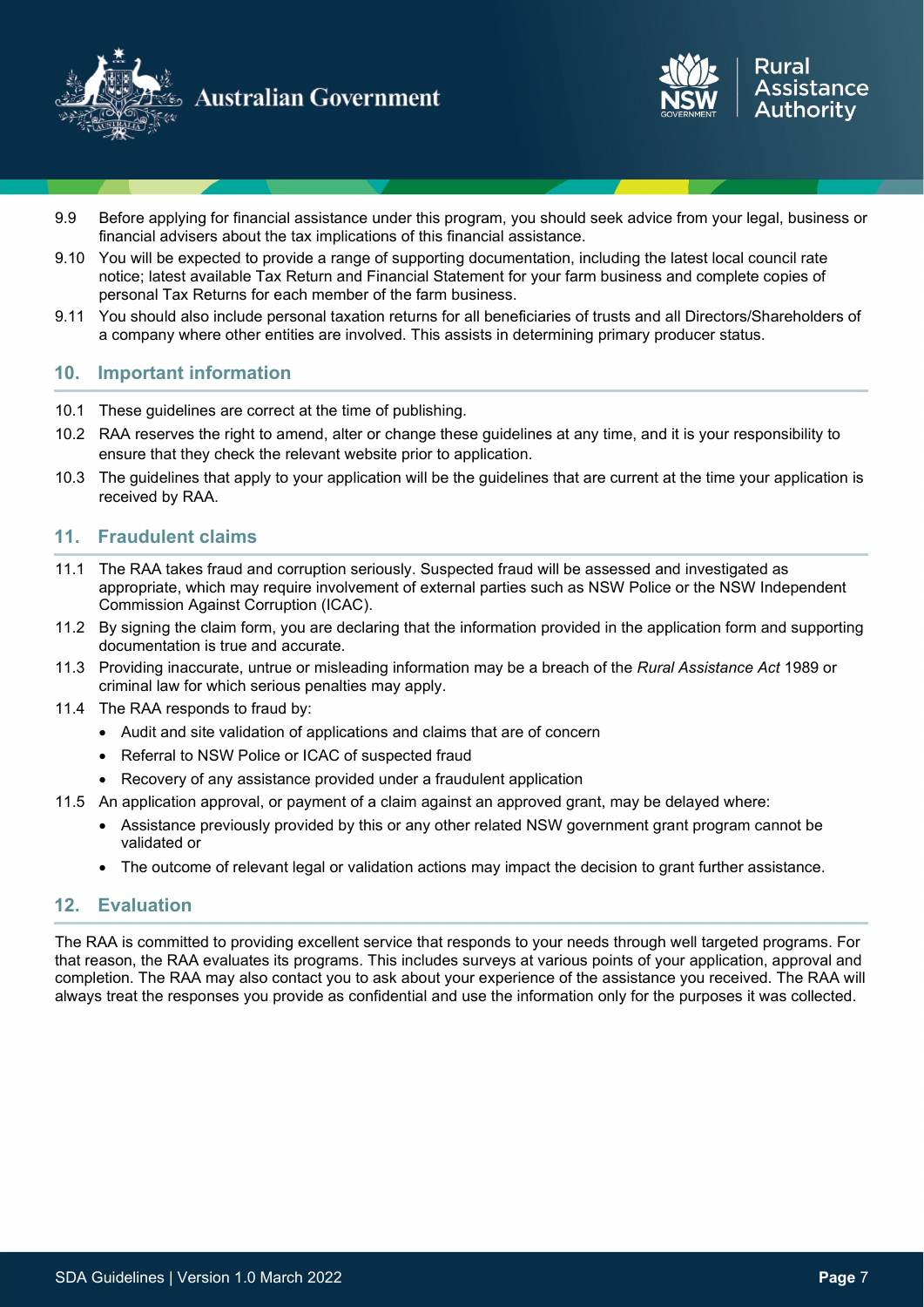



- 9.9 Before applying for financial assistance under this program, you should seek advice from your legal, business or financial advisers about the tax implications of this financial assistance.
- 9.10 You will be expected to provide a range of supporting documentation, including the latest local council rate notice; latest available Tax Return and Financial Statement for your farm business and complete copies of personal Tax Returns for each member of the farm business.
- 9.11 You should also include personal taxation returns for all beneficiaries of trusts and all Directors/Shareholders of a company where other entities are involved. This assists in determining primary producer status.

#### **10. Important information**

- 10.1 These guidelines are correct at the time of publishing.
- 10.2 RAA reserves the right to amend, alter or change these guidelines at any time, and it is your responsibility to ensure that they check the relevant website prior to application.
- 10.3 The guidelines that apply to your application will be the guidelines that are current at the time your application is received by RAA.

#### **11. Fraudulent claims**

- 11.1 The RAA takes fraud and corruption seriously. Suspected fraud will be assessed and investigated as appropriate, which may require involvement of external parties such as NSW Police or the NSW Independent Commission Against Corruption (ICAC).
- 11.2 By signing the claim form, you are declaring that the information provided in the application form and supporting documentation is true and accurate.
- 11.3 Providing inaccurate, untrue or misleading information may be a breach of the *Rural Assistance Act* 1989 or criminal law for which serious penalties may apply.
- 11.4 The RAA responds to fraud by:
	- Audit and site validation of applications and claims that are of concern
	- Referral to NSW Police or ICAC of suspected fraud
	- Recovery of any assistance provided under a fraudulent application
- 11.5 An application approval, or payment of a claim against an approved grant, may be delayed where:
	- Assistance previously provided by this or any other related NSW government grant program cannot be validated or
	- The outcome of relevant legal or validation actions may impact the decision to grant further assistance.

#### **12. Evaluation**

The RAA is committed to providing excellent service that responds to your needs through well targeted programs. For that reason, the RAA evaluates its programs. This includes surveys at various points of your application, approval and completion. The RAA may also contact you to ask about your experience of the assistance you received. The RAA will always treat the responses you provide as confidential and use the information only for the purposes it was collected.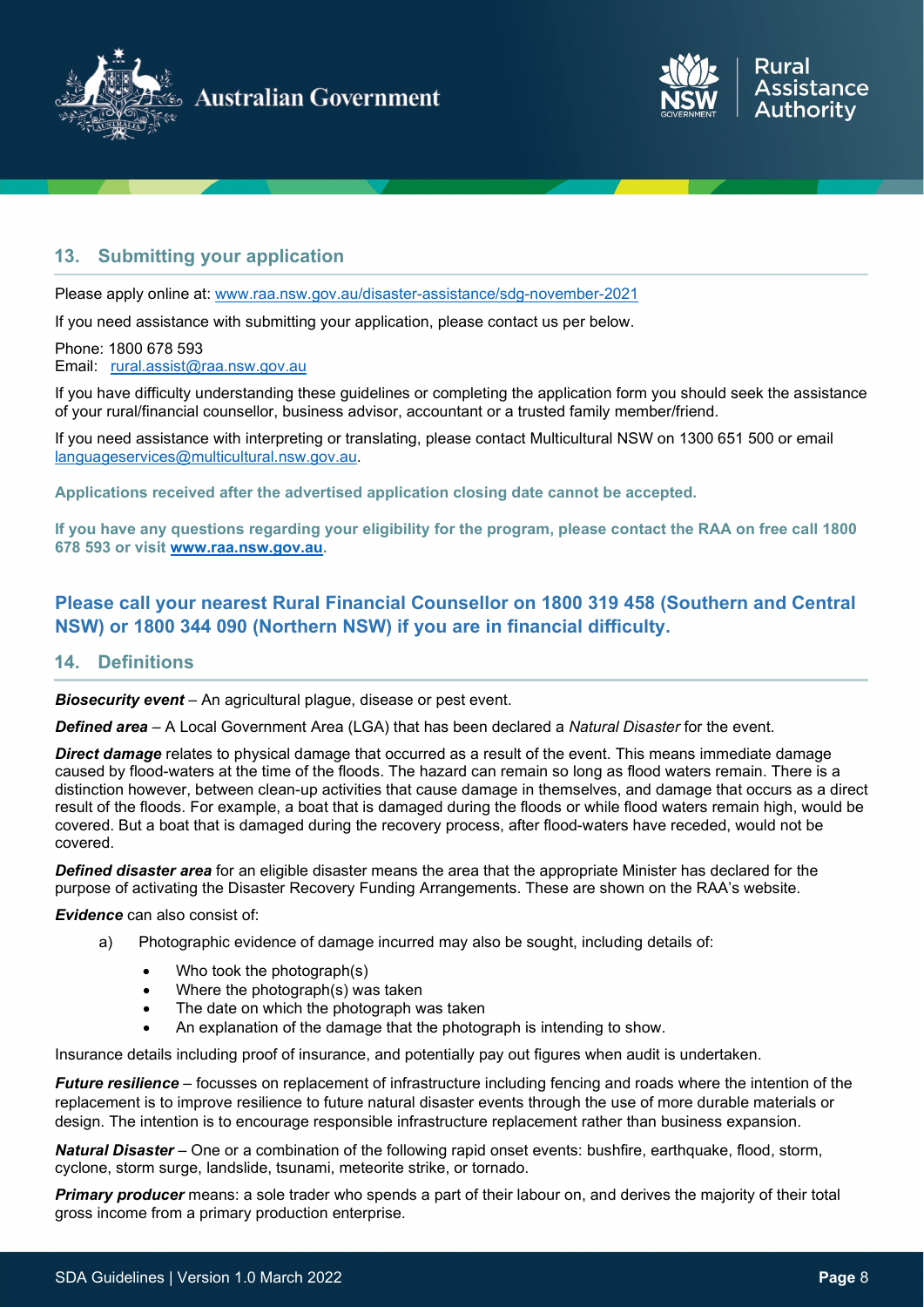



### **13. Submitting your application**

Please apply online at: [www.raa.nsw.gov.au/disaster-assistance/sdg-november-2021](http://www.raa.nsw.gov.au/disaster-assistance/sdg-november-2021)

If you need assistance with submitting your application, please contact us per below.

Phone: 1800 678 593 Email: [rural.assist@raa.nsw.gov.au](mailto:rural.assist@raa.nsw.gov.au) 

If you have difficulty understanding these guidelines or completing the application form you should seek the assistance of your rural/financial counsellor, business advisor, accountant or a trusted family member/friend.

If you need assistance with interpreting or translating, please contact Multicultural NSW on 1300 651 500 or email [languageservices@multicultural.nsw.gov.au.](mailto:languageservices@multicultural.nsw.gov.au)

**Applications received after the advertised application closing date cannot be accepted.**

**If you have any questions regarding your eligibility for the program, please contact the RAA on free call 1800 678 593 or visit [www.raa.nsw.gov.au.](http://www.raa.nsw.gov.au/)** 

### **Please call your nearest Rural Financial Counsellor on 1800 319 458 (Southern and Central NSW) or 1800 344 090 (Northern NSW) if you are in financial difficulty.**

#### **14. Definitions**

<span id="page-7-3"></span>*Biosecurity event* – An agricultural plague, disease or pest event.

<span id="page-7-1"></span>*Defined area* – A Local Government Area (LGA) that has been declared a *Natural Disaster* for the event.

<span id="page-7-2"></span>*Direct damage* relates to physical damage that occurred as a result of the event. This means immediate damage caused by flood-waters at the time of the floods. The hazard can remain so long as flood waters remain. There is a distinction however, between clean-up activities that cause damage in themselves, and damage that occurs as a direct result of the floods. For example, a boat that is damaged during the floods or while flood waters remain high, would be covered. But a boat that is damaged during the recovery process, after flood-waters have receded, would not be covered.

*Defined disaster area* for an eligible disaster means the area that the appropriate Minister has declared for the purpose of activating the Disaster Recovery Funding Arrangements. These are shown on the RAA's website.

<span id="page-7-4"></span>*Evidence* can also consist of:

- a) Photographic evidence of damage incurred may also be sought, including details of:
	- Who took the photograph(s)
	- Where the photograph(s) was taken
	- The date on which the photograph was taken
	- An explanation of the damage that the photograph is intending to show.

Insurance details including proof of insurance, and potentially pay out figures when audit is undertaken.

<span id="page-7-5"></span>*Future resilience* – focusses on replacement of infrastructure including fencing and roads where the intention of the replacement is to improve resilience to future natural disaster events through the use of more durable materials or design. The intention is to encourage responsible infrastructure replacement rather than business expansion.

*Natural Disaster* – One or a combination of the following rapid onset events: bushfire, earthquake, flood, storm, cyclone, storm surge, landslide, tsunami, meteorite strike, or tornado.

<span id="page-7-0"></span>*Primary producer* means: a sole trader who spends a part of their labour on, and derives the majority of their total gross income from a primary production enterprise.